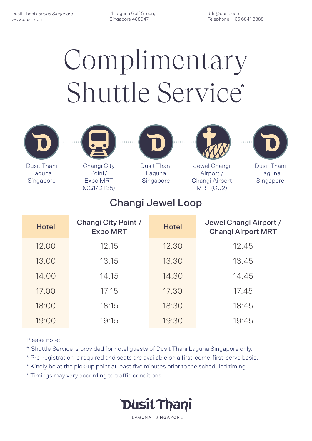# Complimentary Shuttle Service\*

11 Laguna Golf Green, Singapore 488047

dtls@dusit.com Telephone: +65 6841 8888

### Changi Jewel Loop

| <b>Hotel</b> | <b>Changi City Point /</b><br><b>Expo MRT</b> | <b>Hotel</b> | Jewel Changi Airport /<br><b>Changi Airport MRT</b> |
|--------------|-----------------------------------------------|--------------|-----------------------------------------------------|
| 12:00        | 12:15                                         | 12:30        | 12:45                                               |
| 13:00        | 13:15                                         | 13:30        | 13:45                                               |
| 14:00        | 14:15                                         | 14:30        | 14:45                                               |
| 17:00        | 17:15                                         | 17:30        | 17:45                                               |
| 18:00        | 18:15                                         | 18:30        | 18:45                                               |
| 19:00        | 19:15                                         | 19:30        | 19:45                                               |

#### Please note:

- \* Shuttle Service is provided for hotel guests of Dusit Thani Laguna Singapore only.
- \* Pre-registration is required and seats are available on a first-come-first-serve basis.
- \* Kindly be at the pick-up point at least five minutes prior to the scheduled timing.
- \* Timings may vary according to traffic conditions.

**Dusit Thani** 

LAGUNA · SINGAPORE



Dusit Thani Laguna Singapore



Singapore

Dusit Thani Laguna Changi City



Jewel Changi Airport / Changi Airport MRT (CG2)

Point/ Expo MRT (CG1/DT35)



Dusit Thani Laguna Singapore